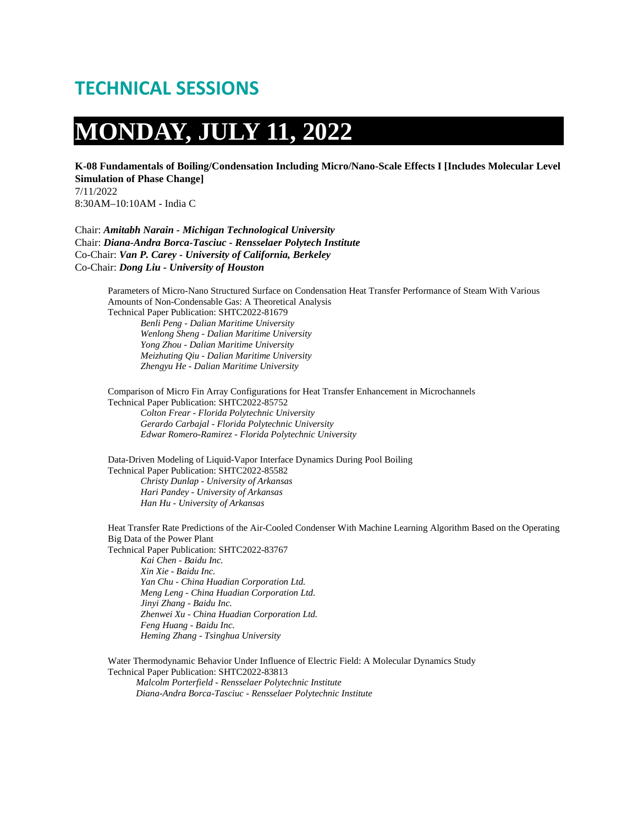### **TECHNICAL SESSIONS**

# **MONDAY, JULY 11, 2022**

**K-08 Fundamentals of Boiling/Condensation Including Micro/Nano-Scale Effects I [Includes Molecular Level Simulation of Phase Change]**

7/11/2022 8:30AM–10:10AM - India C

Chair: *Amitabh Narain - Michigan Technological University* Chair: *Diana-Andra Borca-Tasciuc - Rensselaer Polytech Institute* Co-Chair: *Van P. Carey - University of California, Berkeley* Co-Chair: *Dong Liu - University of Houston*

> Parameters of Micro-Nano Structured Surface on Condensation Heat Transfer Performance of Steam With Various Amounts of Non-Condensable Gas: A Theoretical Analysis Technical Paper Publication: SHTC2022-81679

*Benli Peng - Dalian Maritime University Wenlong Sheng - Dalian Maritime University Yong Zhou - Dalian Maritime University Meizhuting Qiu - Dalian Maritime University Zhengyu He - Dalian Maritime University*

Comparison of Micro Fin Array Configurations for Heat Transfer Enhancement in Microchannels Technical Paper Publication: SHTC2022-85752 *Colton Frear - Florida Polytechnic University Gerardo Carbajal - Florida Polytechnic University*

*Edwar Romero-Ramirez - Florida Polytechnic University*

Data-Driven Modeling of Liquid-Vapor Interface Dynamics During Pool Boiling Technical Paper Publication: SHTC2022-85582 *Christy Dunlap - University of Arkansas Hari Pandey - University of Arkansas Han Hu - University of Arkansas*

Heat Transfer Rate Predictions of the Air-Cooled Condenser With Machine Learning Algorithm Based on the Operating Big Data of the Power Plant Technical Paper Publication: SHTC2022-83767 *Kai Chen - Baidu Inc. Xin Xie - Baidu Inc. Yan Chu - China Huadian Corporation Ltd. Meng Leng - China Huadian Corporation Ltd. Jinyi Zhang - Baidu Inc. Zhenwei Xu - China Huadian Corporation Ltd. Feng Huang - Baidu Inc. Heming Zhang - Tsinghua University*

Water Thermodynamic Behavior Under Influence of Electric Field: A Molecular Dynamics Study Technical Paper Publication: SHTC2022-83813 *Malcolm Porterfield - Rensselaer Polytechnic Institute*

*Diana-Andra Borca-Tasciuc - Rensselaer Polytechnic Institute*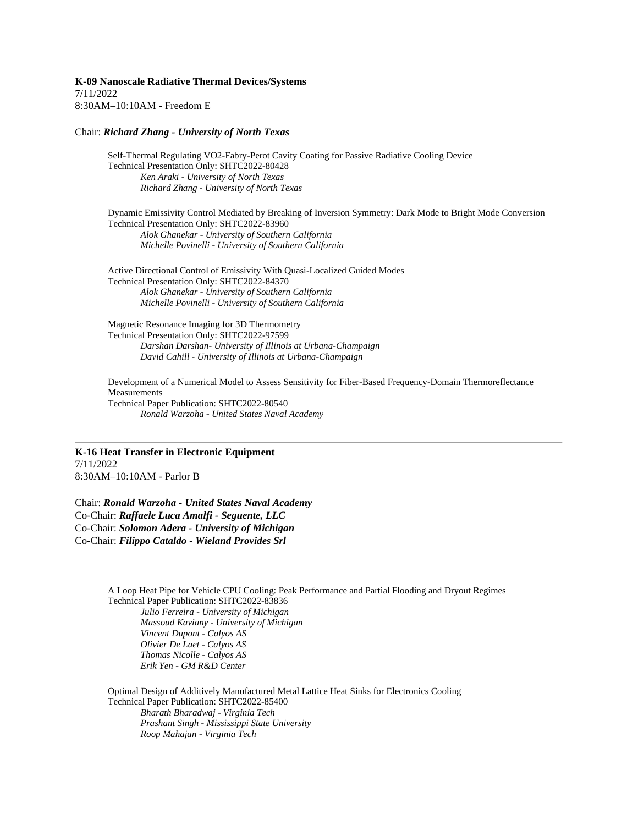**K-09 Nanoscale Radiative Thermal Devices/Systems** 7/11/2022 8:30AM–10:10AM - Freedom E

#### Chair: *Richard Zhang - University of North Texas*

Self-Thermal Regulating VO2-Fabry-Perot Cavity Coating for Passive Radiative Cooling Device Technical Presentation Only: SHTC2022-80428 *Ken Araki - University of North Texas Richard Zhang - University of North Texas*

Dynamic Emissivity Control Mediated by Breaking of Inversion Symmetry: Dark Mode to Bright Mode Conversion Technical Presentation Only: SHTC2022-83960 *Alok Ghanekar - University of Southern California Michelle Povinelli - University of Southern California*

Active Directional Control of Emissivity With Quasi-Localized Guided Modes Technical Presentation Only: SHTC2022-84370 *Alok Ghanekar - University of Southern California Michelle Povinelli - University of Southern California*

Magnetic Resonance Imaging for 3D Thermometry Technical Presentation Only: SHTC2022-97599 *Darshan Darshan- University of Illinois at Urbana-Champaign David Cahill - University of Illinois at Urbana-Champaign*

Development of a Numerical Model to Assess Sensitivity for Fiber-Based Frequency-Domain Thermoreflectance Measurements Technical Paper Publication: SHTC2022-80540 *Ronald Warzoha - United States Naval Academy*

**K-16 Heat Transfer in Electronic Equipment** 7/11/2022 8:30AM–10:10AM - Parlor B

Chair: *Ronald Warzoha - United States Naval Academy* Co-Chair: *Raffaele Luca Amalfi - Seguente, LLC* Co-Chair: *Solomon Adera - University of Michigan* Co-Chair: *Filippo Cataldo - Wieland Provides Srl*

> A Loop Heat Pipe for Vehicle CPU Cooling: Peak Performance and Partial Flooding and Dryout Regimes Technical Paper Publication: SHTC2022-83836 *Julio Ferreira - University of Michigan Massoud Kaviany - University of Michigan Vincent Dupont - Calyos AS Olivier De Laet - Calyos AS Thomas Nicolle - Calyos AS Erik Yen - GM R&D Center*

Optimal Design of Additively Manufactured Metal Lattice Heat Sinks for Electronics Cooling Technical Paper Publication: SHTC2022-85400 *Bharath Bharadwaj - Virginia Tech Prashant Singh - Mississippi State University Roop Mahajan - Virginia Tech*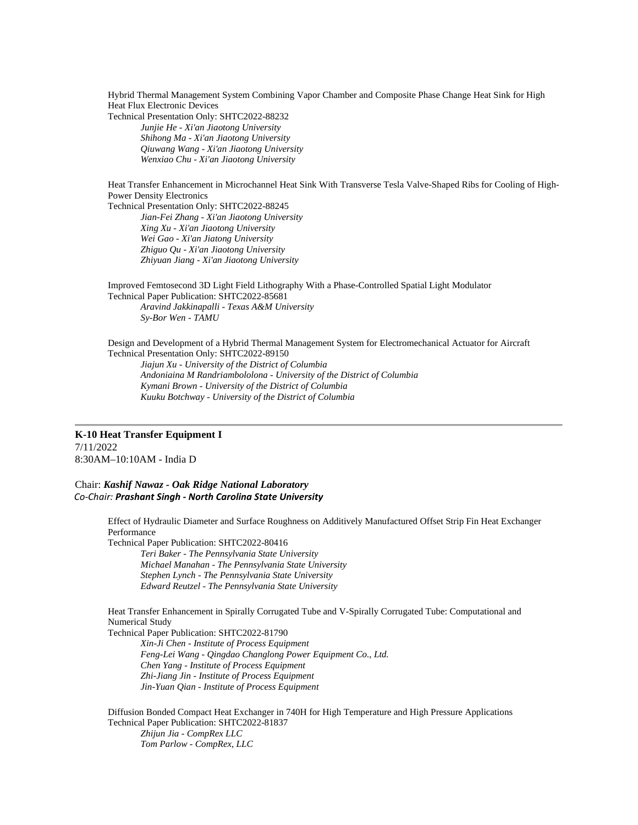Hybrid Thermal Management System Combining Vapor Chamber and Composite Phase Change Heat Sink for High Heat Flux Electronic Devices

Technical Presentation Only: SHTC2022-88232 *Junjie He - Xi'an Jiaotong University Shihong Ma - Xi'an Jiaotong University Qiuwang Wang - Xi'an Jiaotong University Wenxiao Chu - Xi'an Jiaotong University*

Heat Transfer Enhancement in Microchannel Heat Sink With Transverse Tesla Valve-Shaped Ribs for Cooling of High-Power Density Electronics

Technical Presentation Only: SHTC2022-88245 *Jian-Fei Zhang - Xi'an Jiaotong University Xing Xu - Xi'an Jiaotong University Wei Gao - Xi'an Jiatong University Zhiguo Qu - Xi'an Jiaotong University Zhiyuan Jiang - Xi'an Jiaotong University*

Improved Femtosecond 3D Light Field Lithography With a Phase-Controlled Spatial Light Modulator Technical Paper Publication: SHTC2022-85681 *Aravind Jakkinapalli - Texas A&M University Sy-Bor Wen - TAMU*

Design and Development of a Hybrid Thermal Management System for Electromechanical Actuator for Aircraft Technical Presentation Only: SHTC2022-89150 *Jiajun Xu - University of the District of Columbia Andoniaina M Randriambololona - University of the District of Columbia Kymani Brown - University of the District of Columbia Kuuku Botchway - University of the District of Columbia*

#### **K-10 Heat Transfer Equipment I** 7/11/2022

8:30AM–10:10AM - India D

Chair: *Kashif Nawaz - Oak Ridge National Laboratory Co-Chair: Prashant Singh - North Carolina State University* 

> Effect of Hydraulic Diameter and Surface Roughness on Additively Manufactured Offset Strip Fin Heat Exchanger Performance

Technical Paper Publication: SHTC2022-80416 *Teri Baker - The Pennsylvania State University Michael Manahan - The Pennsylvania State University Stephen Lynch - The Pennsylvania State University Edward Reutzel - The Pennsylvania State University*

Heat Transfer Enhancement in Spirally Corrugated Tube and V-Spirally Corrugated Tube: Computational and Numerical Study

Technical Paper Publication: SHTC2022-81790 *Xin-Ji Chen - Institute of Process Equipment Feng-Lei Wang - Qingdao Changlong Power Equipment Co., Ltd. Chen Yang - Institute of Process Equipment Zhi-Jiang Jin - Institute of Process Equipment Jin-Yuan Qian - Institute of Process Equipment*

Diffusion Bonded Compact Heat Exchanger in 740H for High Temperature and High Pressure Applications Technical Paper Publication: SHTC2022-81837 *Zhijun Jia - CompRex LLC Tom Parlow - CompRex, LLC*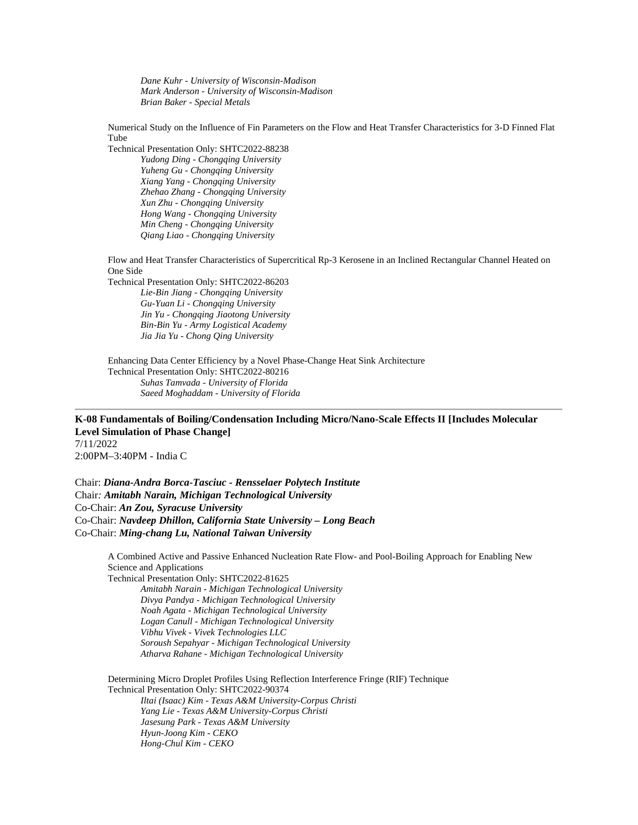*Dane Kuhr - University of Wisconsin-Madison Mark Anderson - University of Wisconsin-Madison Brian Baker - Special Metals*

Numerical Study on the Influence of Fin Parameters on the Flow and Heat Transfer Characteristics for 3-D Finned Flat Tube

Technical Presentation Only: SHTC2022-88238 *Yudong Ding - Chongqing University Yuheng Gu - Chongqing University Xiang Yang - Chongqing University Zhehao Zhang - Chongqing University Xun Zhu - Chongqing University Hong Wang - Chongqing University Min Cheng - Chongqing University Qiang Liao - Chongqing University*

Flow and Heat Transfer Characteristics of Supercritical Rp-3 Kerosene in an Inclined Rectangular Channel Heated on One Side

Technical Presentation Only: SHTC2022-86203 *Lie-Bin Jiang - Chongqing University Gu-Yuan Li - Chongqing University Jin Yu - Chongqing Jiaotong University Bin-Bin Yu - Army Logistical Academy Jia Jia Yu - Chong Qing University*

Enhancing Data Center Efficiency by a Novel Phase-Change Heat Sink Architecture Technical Presentation Only: SHTC2022-80216 *Suhas Tamvada - University of Florida Saeed Moghaddam - University of Florida*

**K-08 Fundamentals of Boiling/Condensation Including Micro/Nano-Scale Effects II [Includes Molecular Level Simulation of Phase Change]** 7/11/2022 2:00PM–3:40PM - India C

Chair: *Diana-Andra Borca-Tasciuc - Rensselaer Polytech Institute* Chair*: Amitabh Narain, Michigan Technological University* Co-Chair: *An Zou, Syracuse University* Co-Chair: *Navdeep Dhillon, California State University – Long Beach* Co-Chair: *Ming-chang Lu, National Taiwan University*

> A Combined Active and Passive Enhanced Nucleation Rate Flow- and Pool-Boiling Approach for Enabling New Science and Applications Technical Presentation Only: SHTC2022-81625

*Amitabh Narain - Michigan Technological University Divya Pandya - Michigan Technological University Noah Agata - Michigan Technological University Logan Canull - Michigan Technological University Vibhu Vivek - Vivek Technologies LLC Soroush Sepahyar - Michigan Technological University Atharva Rahane - Michigan Technological University*

Determining Micro Droplet Profiles Using Reflection Interference Fringe (RIF) Technique Technical Presentation Only: SHTC2022-90374 *Iltai (Isaac) Kim - Texas A&M University-Corpus Christi Yang Lie - Texas A&M University-Corpus Christi Jasesung Park - Texas A&M University Hyun-Joong Kim - CEKO Hong-Chul Kim - CEKO*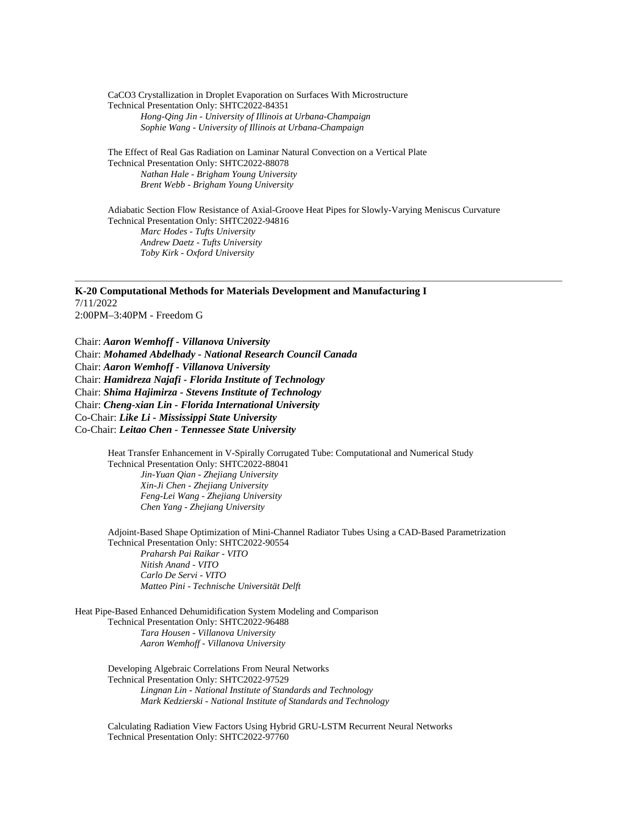CaCO3 Crystallization in Droplet Evaporation on Surfaces With Microstructure Technical Presentation Only: SHTC2022-84351 *Hong-Qing Jin - University of Illinois at Urbana-Champaign Sophie Wang - University of Illinois at Urbana-Champaign*

The Effect of Real Gas Radiation on Laminar Natural Convection on a Vertical Plate Technical Presentation Only: SHTC2022-88078 *Nathan Hale - Brigham Young University Brent Webb - Brigham Young University*

Adiabatic Section Flow Resistance of Axial-Groove Heat Pipes for Slowly-Varying Meniscus Curvature Technical Presentation Only: SHTC2022-94816 *Marc Hodes - Tufts University Andrew Daetz - Tufts University Toby Kirk - Oxford University*

**K-20 Computational Methods for Materials Development and Manufacturing I** 7/11/2022 2:00PM–3:40PM - Freedom G

Chair: *Aaron Wemhoff - Villanova University* Chair: *Mohamed Abdelhady - National Research Council Canada* Chair: *Aaron Wemhoff - Villanova University* Chair: *Hamidreza Najafi - Florida Institute of Technology* Chair: *Shima Hajimirza - Stevens Institute of Technology* Chair: *Cheng-xian Lin - Florida International University* Co-Chair: *Like Li - Mississippi State University* Co-Chair: *Leitao Chen - Tennessee State University*

> Heat Transfer Enhancement in V-Spirally Corrugated Tube: Computational and Numerical Study Technical Presentation Only: SHTC2022-88041 *Jin-Yuan Qian - Zhejiang University Xin-Ji Chen - Zhejiang University Feng-Lei Wang - Zhejiang University Chen Yang - Zhejiang University*

Adjoint-Based Shape Optimization of Mini-Channel Radiator Tubes Using a CAD-Based Parametrization Technical Presentation Only: SHTC2022-90554 *Praharsh Pai Raikar - VITO Nitish Anand - VITO Carlo De Servi - VITO Matteo Pini - Technische Universität Delft*

Heat Pipe-Based Enhanced Dehumidification System Modeling and Comparison Technical Presentation Only: SHTC2022-96488 *Tara Housen - Villanova University Aaron Wemhoff - Villanova University*

> Developing Algebraic Correlations From Neural Networks Technical Presentation Only: SHTC2022-97529 *Lingnan Lin - National Institute of Standards and Technology Mark Kedzierski - National Institute of Standards and Technology*

Calculating Radiation View Factors Using Hybrid GRU-LSTM Recurrent Neural Networks Technical Presentation Only: SHTC2022-97760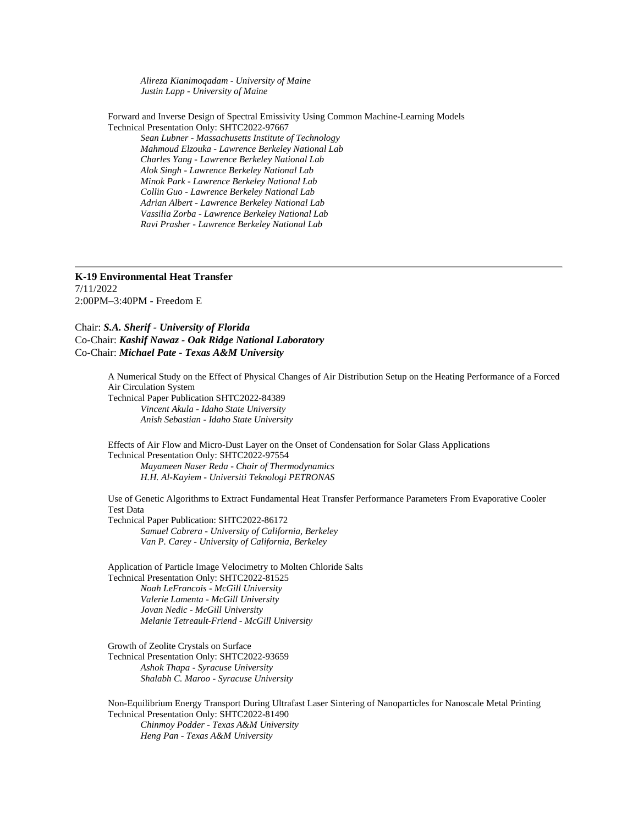*Alireza Kianimoqadam - University of Maine Justin Lapp - University of Maine*

Forward and Inverse Design of Spectral Emissivity Using Common Machine-Learning Models Technical Presentation Only: SHTC2022-97667 *Sean Lubner - Massachusetts Institute of Technology Mahmoud Elzouka - Lawrence Berkeley National Lab Charles Yang - Lawrence Berkeley National Lab*

*Alok Singh - Lawrence Berkeley National Lab Minok Park - Lawrence Berkeley National Lab Collin Guo - Lawrence Berkeley National Lab Adrian Albert - Lawrence Berkeley National Lab Vassilia Zorba - Lawrence Berkeley National Lab Ravi Prasher - Lawrence Berkeley National Lab*

#### **K-19 Environmental Heat Transfer**

7/11/2022 2:00PM–3:40PM - Freedom E

Chair: *S.A. Sherif - University of Florida* Co-Chair: *Kashif Nawaz - Oak Ridge National Laboratory* Co-Chair: *Michael Pate - Texas A&M University*

> A Numerical Study on the Effect of Physical Changes of Air Distribution Setup on the Heating Performance of a Forced Air Circulation System Technical Paper Publication SHTC2022-84389 *Vincent Akula - Idaho State University Anish Sebastian - Idaho State University*

Effects of Air Flow and Micro-Dust Layer on the Onset of Condensation for Solar Glass Applications Technical Presentation Only: SHTC2022-97554 *Mayameen Naser Reda - Chair of Thermodynamics H.H. Al-Kayiem - Universiti Teknologi PETRONAS*

Use of Genetic Algorithms to Extract Fundamental Heat Transfer Performance Parameters From Evaporative Cooler Test Data

Technical Paper Publication: SHTC2022-86172 *Samuel Cabrera - University of California, Berkeley Van P. Carey - University of California, Berkeley*

Application of Particle Image Velocimetry to Molten Chloride Salts Technical Presentation Only: SHTC2022-81525 *Noah LeFrancois - McGill University Valerie Lamenta - McGill University Jovan Nedic - McGill University Melanie Tetreault-Friend - McGill University*

Growth of Zeolite Crystals on Surface Technical Presentation Only: SHTC2022-93659 *Ashok Thapa - Syracuse University Shalabh C. Maroo - Syracuse University*

Non-Equilibrium Energy Transport During Ultrafast Laser Sintering of Nanoparticles for Nanoscale Metal Printing Technical Presentation Only: SHTC2022-81490 *Chinmoy Podder - Texas A&M University Heng Pan - Texas A&M University*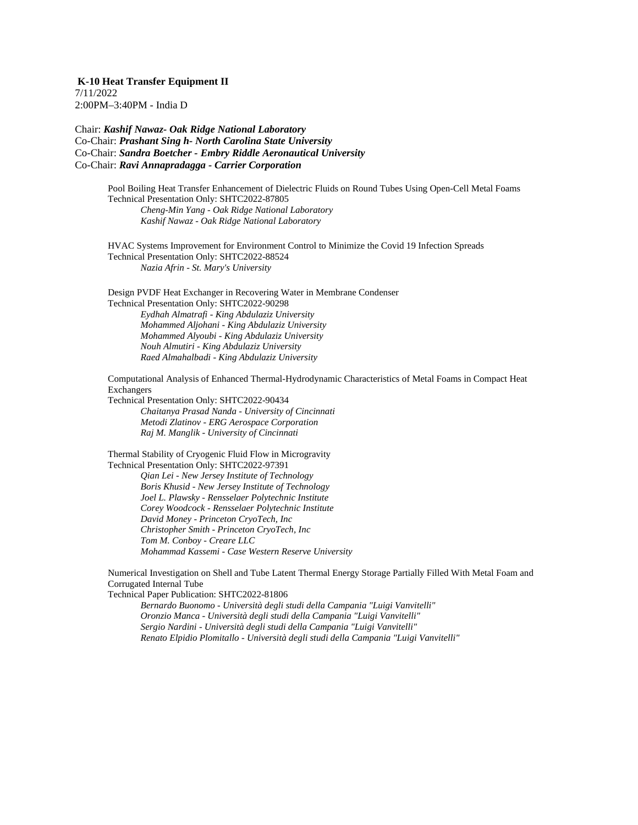**K-10 Heat Transfer Equipment II** 7/11/2022 2:00PM–3:40PM - India D

Chair: *Kashif Nawaz- Oak Ridge National Laboratory* Co-Chair: *Prashant Sing h- North Carolina State University* Co-Chair: *Sandra Boetcher - Embry Riddle Aeronautical University* Co-Chair: *Ravi Annapradagga - Carrier Corporation*

> Pool Boiling Heat Transfer Enhancement of Dielectric Fluids on Round Tubes Using Open-Cell Metal Foams Technical Presentation Only: SHTC2022-87805 *Cheng-Min Yang - Oak Ridge National Laboratory Kashif Nawaz - Oak Ridge National Laboratory*

HVAC Systems Improvement for Environment Control to Minimize the Covid 19 Infection Spreads Technical Presentation Only: SHTC2022-88524 *Nazia Afrin - St. Mary's University*

Design PVDF Heat Exchanger in Recovering Water in Membrane Condenser Technical Presentation Only: SHTC2022-90298 *Eydhah Almatrafi - King Abdulaziz University Mohammed Aljohani - King Abdulaziz University Mohammed Alyoubi - King Abdulaziz University Nouh Almutiri - King Abdulaziz University Raed Almahalbadi - King Abdulaziz University*

Computational Analysis of Enhanced Thermal-Hydrodynamic Characteristics of Metal Foams in Compact Heat Exchangers

Technical Presentation Only: SHTC2022-90434 *Chaitanya Prasad Nanda - University of Cincinnati Metodi Zlatinov - ERG Aerospace Corporation Raj M. Manglik - University of Cincinnati*

Thermal Stability of Cryogenic Fluid Flow in Microgravity Technical Presentation Only: SHTC2022-97391

> *Qian Lei - New Jersey Institute of Technology Boris Khusid - New Jersey Institute of Technology Joel L. Plawsky - Rensselaer Polytechnic Institute Corey Woodcock - Rensselaer Polytechnic Institute David Money - Princeton CryoTech, Inc Christopher Smith - Princeton CryoTech, Inc Tom M. Conboy - Creare LLC Mohammad Kassemi - Case Western Reserve University*

Numerical Investigation on Shell and Tube Latent Thermal Energy Storage Partially Filled With Metal Foam and Corrugated Internal Tube

Technical Paper Publication: SHTC2022-81806

*Bernardo Buonomo - Università degli studi della Campania "Luigi Vanvitelli" Oronzio Manca - Università degli studi della Campania "Luigi Vanvitelli" Sergio Nardini - Università degli studi della Campania "Luigi Vanvitelli" Renato Elpidio Plomitallo - Università degli studi della Campania "Luigi Vanvitelli"*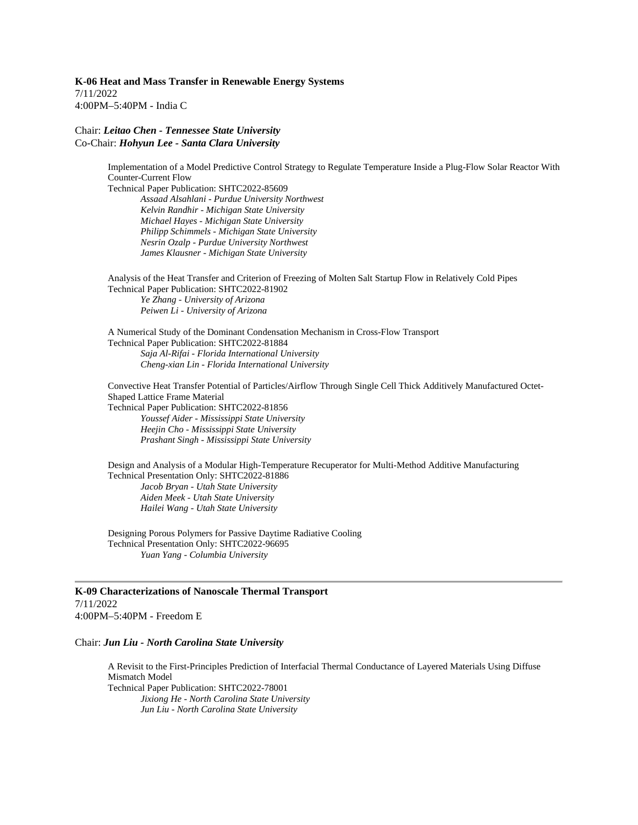**K-06 Heat and Mass Transfer in Renewable Energy Systems** 7/11/2022 4:00PM–5:40PM - India C

#### Chair: *Leitao Chen - Tennessee State University* Co-Chair: *Hohyun Lee - Santa Clara University*

Implementation of a Model Predictive Control Strategy to Regulate Temperature Inside a Plug-Flow Solar Reactor With Counter-Current Flow Technical Paper Publication: SHTC2022-85609

*Assaad Alsahlani - Purdue University Northwest Kelvin Randhir - Michigan State University Michael Hayes - Michigan State University Philipp Schimmels - Michigan State University Nesrin Ozalp - Purdue University Northwest James Klausner - Michigan State University*

Analysis of the Heat Transfer and Criterion of Freezing of Molten Salt Startup Flow in Relatively Cold Pipes Technical Paper Publication: SHTC2022-81902 *Ye Zhang - University of Arizona Peiwen Li - University of Arizona*

A Numerical Study of the Dominant Condensation Mechanism in Cross-Flow Transport Technical Paper Publication: SHTC2022-81884 *Saja Al-Rifai - Florida International University Cheng-xian Lin - Florida International University*

Convective Heat Transfer Potential of Particles/Airflow Through Single Cell Thick Additively Manufactured Octet-Shaped Lattice Frame Material Technical Paper Publication: SHTC2022-81856 *Youssef Aider - Mississippi State University Heejin Cho - Mississippi State University Prashant Singh - Mississippi State University*

Design and Analysis of a Modular High-Temperature Recuperator for Multi-Method Additive Manufacturing Technical Presentation Only: SHTC2022-81886 *Jacob Bryan - Utah State University Aiden Meek - Utah State University Hailei Wang - Utah State University*

Designing Porous Polymers for Passive Daytime Radiative Cooling Technical Presentation Only: SHTC2022-96695 *Yuan Yang - Columbia University*

### **K-09 Characterizations of Nanoscale Thermal Transport** 7/11/2022

4:00PM–5:40PM - Freedom E

#### Chair: *Jun Liu - North Carolina State University*

A Revisit to the First-Principles Prediction of Interfacial Thermal Conductance of Layered Materials Using Diffuse Mismatch Model Technical Paper Publication: SHTC2022-78001 *Jixiong He - North Carolina State University Jun Liu - North Carolina State University*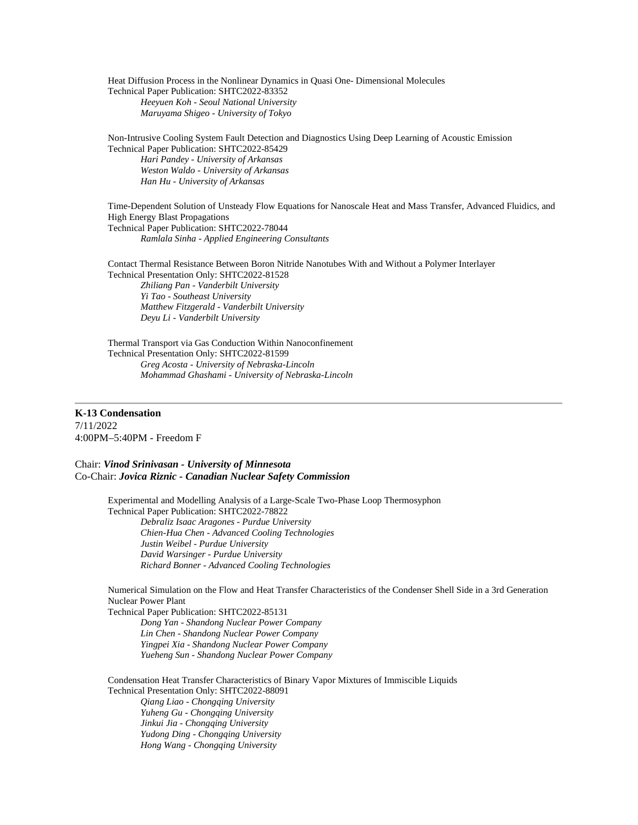Heat Diffusion Process in the Nonlinear Dynamics in Quasi One- Dimensional Molecules Technical Paper Publication: SHTC2022-83352 *Heeyuen Koh - Seoul National University Maruyama Shigeo - University of Tokyo*

Non-Intrusive Cooling System Fault Detection and Diagnostics Using Deep Learning of Acoustic Emission Technical Paper Publication: SHTC2022-85429 *Hari Pandey - University of Arkansas Weston Waldo - University of Arkansas Han Hu - University of Arkansas*

Time-Dependent Solution of Unsteady Flow Equations for Nanoscale Heat and Mass Transfer, Advanced Fluidics, and High Energy Blast Propagations Technical Paper Publication: SHTC2022-78044 *Ramlala Sinha - Applied Engineering Consultants*

Contact Thermal Resistance Between Boron Nitride Nanotubes With and Without a Polymer Interlayer Technical Presentation Only: SHTC2022-81528 *Zhiliang Pan - Vanderbilt University Yi Tao - Southeast University Matthew Fitzgerald - Vanderbilt University Deyu Li - Vanderbilt University*

Thermal Transport via Gas Conduction Within Nanoconfinement Technical Presentation Only: SHTC2022-81599 *Greg Acosta - University of Nebraska-Lincoln Mohammad Ghashami - University of Nebraska-Lincoln*

**K-13 Condensation** 7/11/2022 4:00PM–5:40PM - Freedom F

Chair: *Vinod Srinivasan - University of Minnesota* Co-Chair: *Jovica Riznic - Canadian Nuclear Safety Commission*

> Experimental and Modelling Analysis of a Large-Scale Two-Phase Loop Thermosyphon Technical Paper Publication: SHTC2022-78822 *Debraliz Isaac Aragones - Purdue University Chien-Hua Chen - Advanced Cooling Technologies Justin Weibel - Purdue University David Warsinger - Purdue University Richard Bonner - Advanced Cooling Technologies*

Numerical Simulation on the Flow and Heat Transfer Characteristics of the Condenser Shell Side in a 3rd Generation Nuclear Power Plant

Technical Paper Publication: SHTC2022-85131 *Dong Yan - Shandong Nuclear Power Company Lin Chen - Shandong Nuclear Power Company Yingpei Xia - Shandong Nuclear Power Company Yueheng Sun - Shandong Nuclear Power Company*

Condensation Heat Transfer Characteristics of Binary Vapor Mixtures of Immiscible Liquids Technical Presentation Only: SHTC2022-88091

*Qiang Liao - Chongqing University Yuheng Gu - Chongqing University Jinkui Jia - Chongqing University Yudong Ding - Chongqing University Hong Wang - Chongqing University*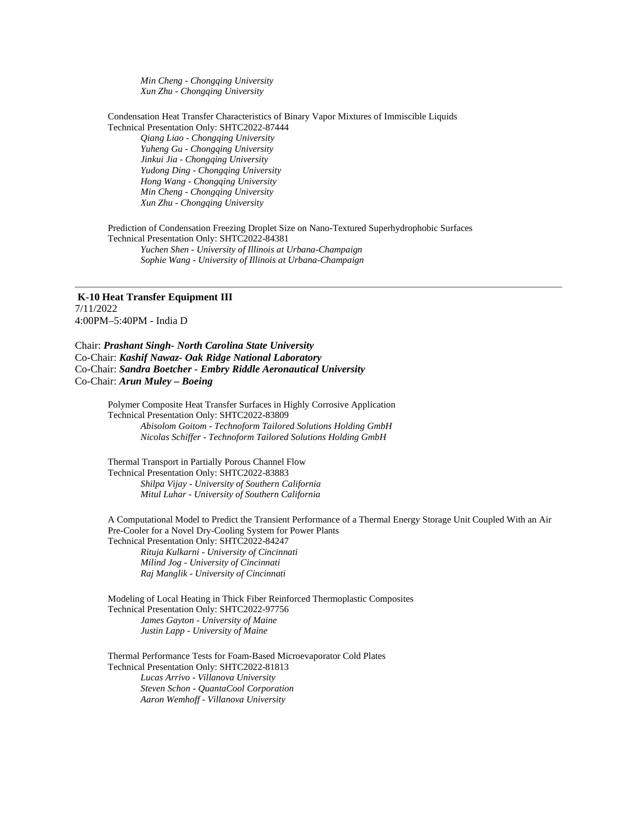*Min Cheng - Chongqing University Xun Zhu - Chongqing University*

Condensation Heat Transfer Characteristics of Binary Vapor Mixtures of Immiscible Liquids Technical Presentation Only: SHTC2022-87444

*Qiang Liao - Chongqing University Yuheng Gu - Chongqing University Jinkui Jia - Chongqing University Yudong Ding - Chongqing University Hong Wang - Chongqing University Min Cheng - Chongqing University Xun Zhu - Chongqing University*

Prediction of Condensation Freezing Droplet Size on Nano-Textured Superhydrophobic Surfaces Technical Presentation Only: SHTC2022-84381 *Yuchen Shen - University of Illinois at Urbana-Champaign Sophie Wang - University of Illinois at Urbana-Champaign*

**K-10 Heat Transfer Equipment III** 7/11/2022 4:00PM–5:40PM - India D

Chair: *Prashant Singh- North Carolina State University* Co-Chair: *Kashif Nawaz- Oak Ridge National Laboratory* Co-Chair: *Sandra Boetcher - Embry Riddle Aeronautical University* Co-Chair: *Arun Muley – Boeing*

> Polymer Composite Heat Transfer Surfaces in Highly Corrosive Application Technical Presentation Only: SHTC2022-83809 *Abisolom Goitom - Technoform Tailored Solutions Holding GmbH Nicolas Schiffer - Technoform Tailored Solutions Holding GmbH*

Thermal Transport in Partially Porous Channel Flow Technical Presentation Only: SHTC2022-83883 *Shilpa Vijay - University of Southern California Mitul Luhar - University of Southern California*

A Computational Model to Predict the Transient Performance of a Thermal Energy Storage Unit Coupled With an Air Pre-Cooler for a Novel Dry-Cooling System for Power Plants Technical Presentation Only: SHTC2022-84247 *Rituja Kulkarni - University of Cincinnati Milind Jog - University of Cincinnati Raj Manglik - University of Cincinnati*

Modeling of Local Heating in Thick Fiber Reinforced Thermoplastic Composites Technical Presentation Only: SHTC2022-97756 *James Gayton - University of Maine Justin Lapp - University of Maine*

Thermal Performance Tests for Foam-Based Microevaporator Cold Plates Technical Presentation Only: SHTC2022-81813 *Lucas Arrivo - Villanova University Steven Schon - QuantaCool Corporation Aaron Wemhoff - Villanova University*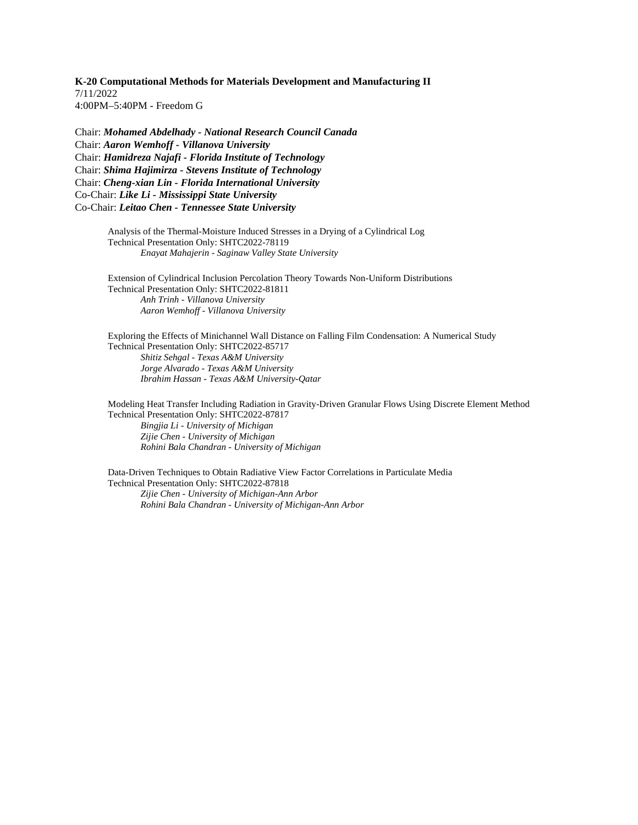**K-20 Computational Methods for Materials Development and Manufacturing II** 7/11/2022 4:00PM–5:40PM - Freedom G

Chair: *Mohamed Abdelhady - National Research Council Canada* Chair: *Aaron Wemhoff - Villanova University* Chair: *Hamidreza Najafi - Florida Institute of Technology* Chair: *Shima Hajimirza - Stevens Institute of Technology* Chair: *Cheng-xian Lin - Florida International University* Co-Chair: *Like Li - Mississippi State University* Co-Chair: *Leitao Chen - Tennessee State University*

> Analysis of the Thermal-Moisture Induced Stresses in a Drying of a Cylindrical Log Technical Presentation Only: SHTC2022-78119 *Enayat Mahajerin - Saginaw Valley State University*

Extension of Cylindrical Inclusion Percolation Theory Towards Non-Uniform Distributions Technical Presentation Only: SHTC2022-81811 *Anh Trinh - Villanova University Aaron Wemhoff - Villanova University*

Exploring the Effects of Minichannel Wall Distance on Falling Film Condensation: A Numerical Study Technical Presentation Only: SHTC2022-85717 *Shitiz Sehgal - Texas A&M University Jorge Alvarado - Texas A&M University Ibrahim Hassan - Texas A&M University-Qatar*

Modeling Heat Transfer Including Radiation in Gravity-Driven Granular Flows Using Discrete Element Method Technical Presentation Only: SHTC2022-87817

*Bingjia Li - University of Michigan Zijie Chen - University of Michigan Rohini Bala Chandran - University of Michigan*

Data-Driven Techniques to Obtain Radiative View Factor Correlations in Particulate Media Technical Presentation Only: SHTC2022-87818 *Zijie Chen - University of Michigan-Ann Arbor*

*Rohini Bala Chandran - University of Michigan-Ann Arbor*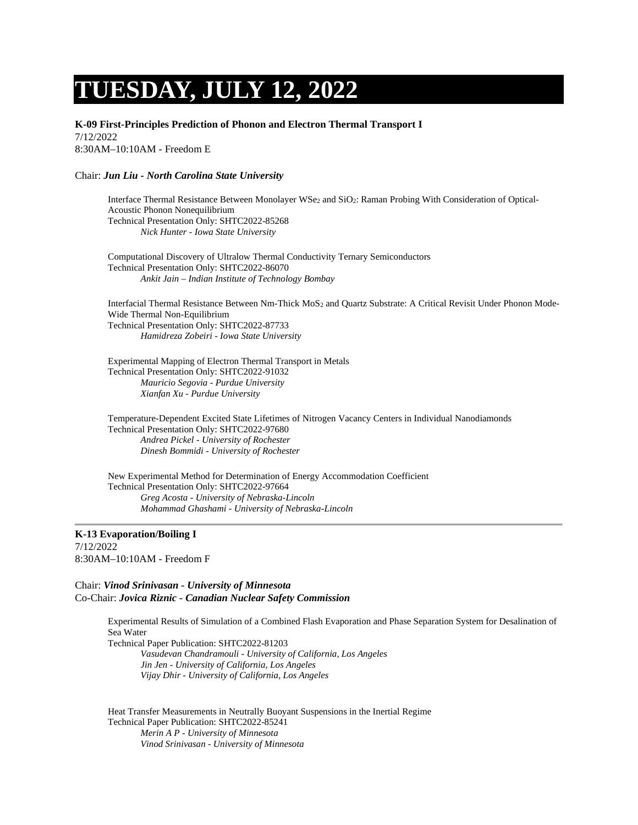# **TUESDAY, JULY 12, 2022**

**K-09 First-Principles Prediction of Phonon and Electron Thermal Transport I** 7/12/2022

8:30AM–10:10AM - Freedom E

#### Chair: *Jun Liu - North Carolina State University*

Interface Thermal Resistance Between Monolayer WSe<sub>2</sub> and SiO<sub>2</sub>: Raman Probing With Consideration of Optical-Acoustic Phonon Nonequilibrium Technical Presentation Only: SHTC2022-85268 *Nick Hunter - Iowa State University*

Computational Discovery of Ultralow Thermal Conductivity Ternary Semiconductors Technical Presentation Only: SHTC2022-86070 *Ankit Jain – Indian Institute of Technology Bombay*

Interfacial Thermal Resistance Between Nm-Thick MoS<sub>2</sub> and Quartz Substrate: A Critical Revisit Under Phonon Mode-Wide Thermal Non-Equilibrium Technical Presentation Only: SHTC2022-87733 *Hamidreza Zobeiri - Iowa State University*

Experimental Mapping of Electron Thermal Transport in Metals Technical Presentation Only: SHTC2022-91032 *Mauricio Segovia - Purdue University Xianfan Xu - Purdue University*

Temperature-Dependent Excited State Lifetimes of Nitrogen Vacancy Centers in Individual Nanodiamonds Technical Presentation Only: SHTC2022-97680 *Andrea Pickel - University of Rochester Dinesh Bommidi - University of Rochester*

New Experimental Method for Determination of Energy Accommodation Coefficient Technical Presentation Only: SHTC2022-97664 *Greg Acosta - University of Nebraska-Lincoln Mohammad Ghashami - University of Nebraska-Lincoln*

**K-13 Evaporation/Boiling I** 7/12/2022 8:30AM–10:10AM - Freedom F

Chair: *Vinod Srinivasan - University of Minnesota* Co-Chair: *Jovica Riznic - Canadian Nuclear Safety Commission*

> Experimental Results of Simulation of a Combined Flash Evaporation and Phase Separation System for Desalination of Sea Water

Technical Paper Publication: SHTC2022-81203 *Vasudevan Chandramouli - University of California, Los Angeles Jin Jen - University of California, Los Angeles Vijay Dhir - University of California, Los Angeles*

Heat Transfer Measurements in Neutrally Buoyant Suspensions in the Inertial Regime Technical Paper Publication: SHTC2022-85241 *Merin A P - University of Minnesota Vinod Srinivasan - University of Minnesota*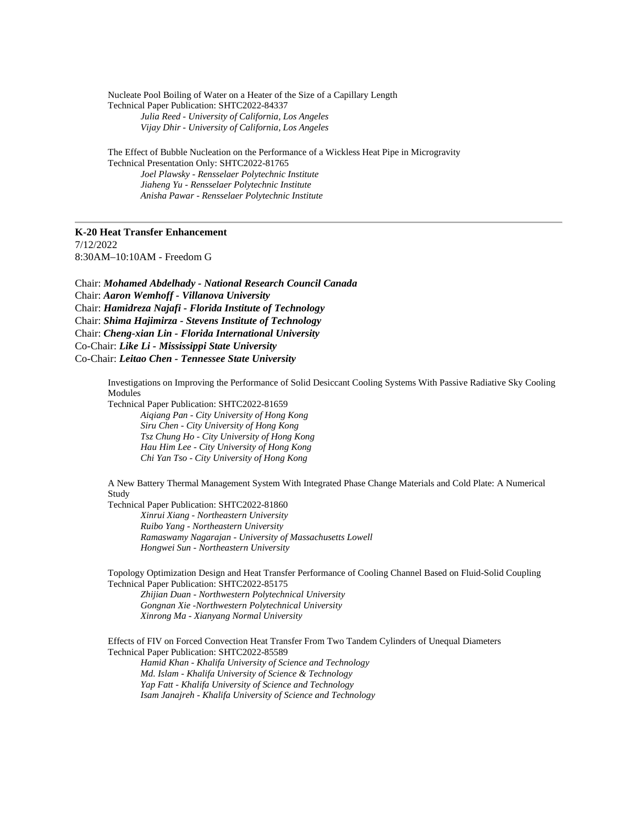Nucleate Pool Boiling of Water on a Heater of the Size of a Capillary Length Technical Paper Publication: SHTC2022-84337 *Julia Reed - University of California, Los Angeles Vijay Dhir - University of California, Los Angeles*

The Effect of Bubble Nucleation on the Performance of a Wickless Heat Pipe in Microgravity Technical Presentation Only: SHTC2022-81765 *Joel Plawsky - Rensselaer Polytechnic Institute*

*Jiaheng Yu - Rensselaer Polytechnic Institute Anisha Pawar - Rensselaer Polytechnic Institute*

#### **K-20 Heat Transfer Enhancement**

7/12/2022 8:30AM–10:10AM - Freedom G

Chair: *Mohamed Abdelhady - National Research Council Canada* Chair: *Aaron Wemhoff - Villanova University* Chair: *Hamidreza Najafi - Florida Institute of Technology* Chair: *Shima Hajimirza - Stevens Institute of Technology* Chair: *Cheng-xian Lin - Florida International University* Co-Chair: *Like Li - Mississippi State University* Co-Chair: *Leitao Chen - Tennessee State University*

> Investigations on Improving the Performance of Solid Desiccant Cooling Systems With Passive Radiative Sky Cooling Modules

Technical Paper Publication: SHTC2022-81659 *Aiqiang Pan - City University of Hong Kong Siru Chen - City University of Hong Kong Tsz Chung Ho - City University of Hong Kong Hau Him Lee - City University of Hong Kong Chi Yan Tso - City University of Hong Kong*

A New Battery Thermal Management System With Integrated Phase Change Materials and Cold Plate: A Numerical Study

Technical Paper Publication: SHTC2022-81860 *Xinrui Xiang - Northeastern University Ruibo Yang - Northeastern University Ramaswamy Nagarajan - University of Massachusetts Lowell Hongwei Sun - Northeastern University*

Topology Optimization Design and Heat Transfer Performance of Cooling Channel Based on Fluid-Solid Coupling Technical Paper Publication: SHTC2022-85175

*Zhijian Duan - Northwestern Polytechnical University Gongnan Xie -Northwestern Polytechnical University Xinrong Ma - Xianyang Normal University*

Effects of FIV on Forced Convection Heat Transfer From Two Tandem Cylinders of Unequal Diameters Technical Paper Publication: SHTC2022-85589 *Hamid Khan - Khalifa University of Science and Technology Md. Islam - Khalifa University of Science & Technology Yap Fatt - Khalifa University of Science and Technology Isam Janajreh - Khalifa University of Science and Technology*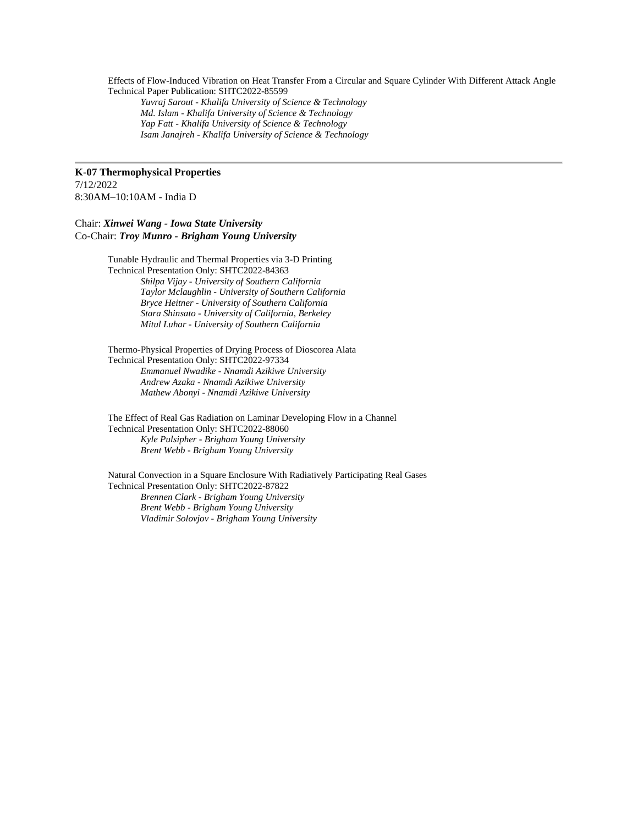Effects of Flow-Induced Vibration on Heat Transfer From a Circular and Square Cylinder With Different Attack Angle Technical Paper Publication: SHTC2022-85599

*Yuvraj Sarout - Khalifa University of Science & Technology Md. Islam - Khalifa University of Science & Technology Yap Fatt - Khalifa University of Science & Technology Isam Janajreh - Khalifa University of Science & Technology*

#### **K-07 Thermophysical Properties** 7/12/2022 8:30AM–10:10AM - India D

Chair: *Xinwei Wang - Iowa State University* Co-Chair: *Troy Munro - Brigham Young University*

> Tunable Hydraulic and Thermal Properties via 3-D Printing Technical Presentation Only: SHTC2022-84363 *Shilpa Vijay - University of Southern California Taylor Mclaughlin - University of Southern California Bryce Heitner - University of Southern California Stara Shinsato - University of California, Berkeley Mitul Luhar - University of Southern California*

Thermo-Physical Properties of Drying Process of Dioscorea Alata Technical Presentation Only: SHTC2022-97334 *Emmanuel Nwadike - Nnamdi Azikiwe University Andrew Azaka - Nnamdi Azikiwe University Mathew Abonyi - Nnamdi Azikiwe University*

The Effect of Real Gas Radiation on Laminar Developing Flow in a Channel Technical Presentation Only: SHTC2022-88060 *Kyle Pulsipher - Brigham Young University Brent Webb - Brigham Young University*

Natural Convection in a Square Enclosure With Radiatively Participating Real Gases Technical Presentation Only: SHTC2022-87822 *Brennen Clark - Brigham Young University Brent Webb - Brigham Young University Vladimir Solovjov - Brigham Young University*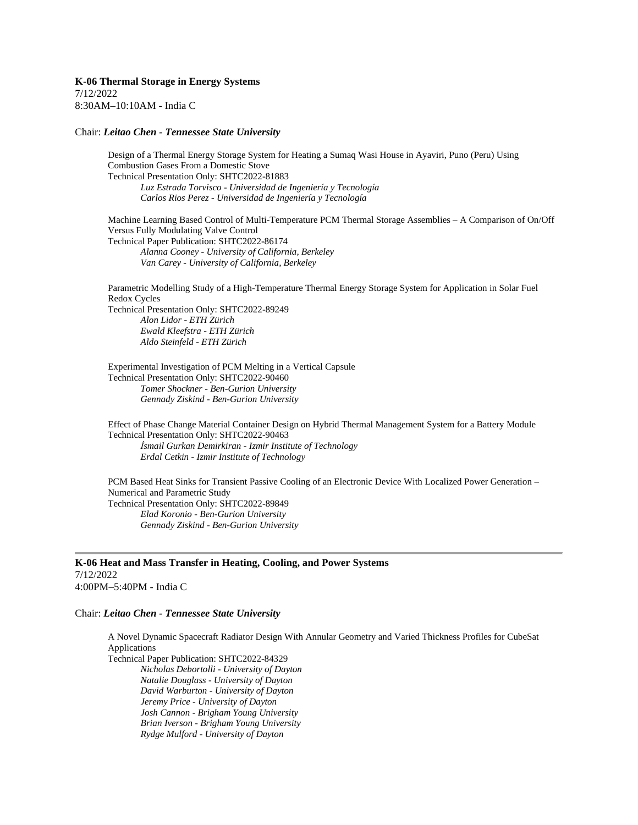**K-06 Thermal Storage in Energy Systems** 7/12/2022 8:30AM–10:10AM - India C

#### Chair: *Leitao Chen - Tennessee State University*

Design of a Thermal Energy Storage System for Heating a Sumaq Wasi House in Ayaviri, Puno (Peru) Using Combustion Gases From a Domestic Stove Technical Presentation Only: SHTC2022-81883 *Luz Estrada Torvisco - Universidad de Ingeniería y Tecnología Carlos Rios Perez - Universidad de Ingeniería y Tecnología*

Machine Learning Based Control of Multi-Temperature PCM Thermal Storage Assemblies – A Comparison of On/Off Versus Fully Modulating Valve Control Technical Paper Publication: SHTC2022-86174 *Alanna Cooney - University of California, Berkeley Van Carey - University of California, Berkeley*

Parametric Modelling Study of a High-Temperature Thermal Energy Storage System for Application in Solar Fuel Redox Cycles Technical Presentation Only: SHTC2022-89249 *Alon Lidor - ETH Zürich Ewald Kleefstra - ETH Zürich Aldo Steinfeld - ETH Zürich*

Experimental Investigation of PCM Melting in a Vertical Capsule Technical Presentation Only: SHTC2022-90460 *Tomer Shockner - Ben-Gurion University Gennady Ziskind - Ben-Gurion University*

Effect of Phase Change Material Container Design on Hybrid Thermal Management System for a Battery Module Technical Presentation Only: SHTC2022-90463 *İsmail Gurkan Demirkiran - Izmir Institute of Technology Erdal Cetkin - Izmir Institute of Technology*

PCM Based Heat Sinks for Transient Passive Cooling of an Electronic Device With Localized Power Generation – Numerical and Parametric Study Technical Presentation Only: SHTC2022-89849 *Elad Koronio - Ben-Gurion University Gennady Ziskind - Ben-Gurion University*

**K-06 Heat and Mass Transfer in Heating, Cooling, and Power Systems** 7/12/2022 4:00PM–5:40PM - India C

#### Chair: *Leitao Chen - Tennessee State University*

A Novel Dynamic Spacecraft Radiator Design With Annular Geometry and Varied Thickness Profiles for CubeSat Applications

Technical Paper Publication: SHTC2022-84329

*Nicholas Debortolli - University of Dayton Natalie Douglass - University of Dayton David Warburton - University of Dayton Jeremy Price - University of Dayton Josh Cannon - Brigham Young University Brian Iverson - Brigham Young University Rydge Mulford - University of Dayton*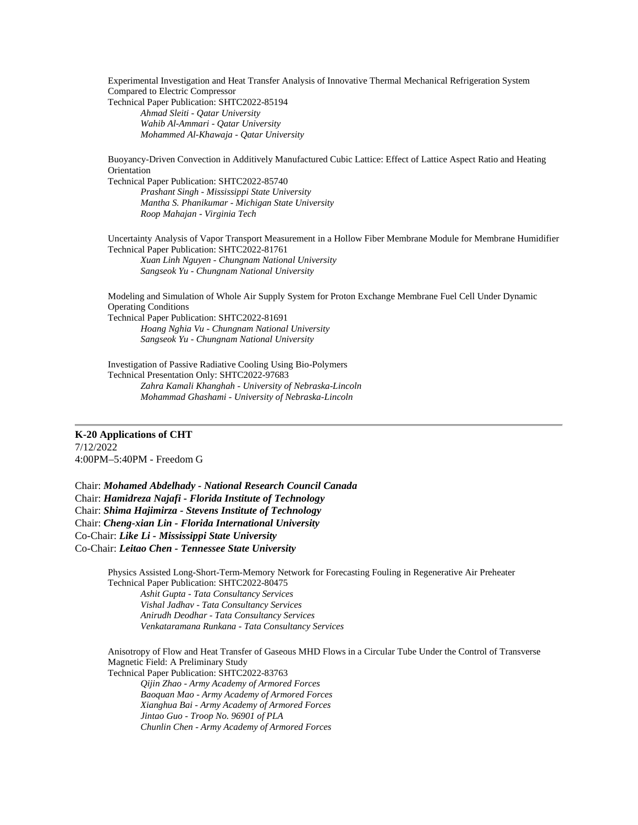Experimental Investigation and Heat Transfer Analysis of Innovative Thermal Mechanical Refrigeration System Compared to Electric Compressor Technical Paper Publication: SHTC2022-85194 *Ahmad Sleiti - Qatar University Wahib Al-Ammari - Qatar University Mohammed Al-Khawaja - Qatar University*

Buoyancy-Driven Convection in Additively Manufactured Cubic Lattice: Effect of Lattice Aspect Ratio and Heating **Orientation** 

Technical Paper Publication: SHTC2022-85740 *Prashant Singh - Mississippi State University Mantha S. Phanikumar - Michigan State University Roop Mahajan - Virginia Tech*

Uncertainty Analysis of Vapor Transport Measurement in a Hollow Fiber Membrane Module for Membrane Humidifier Technical Paper Publication: SHTC2022-81761 *Xuan Linh Nguyen - Chungnam National University Sangseok Yu - Chungnam National University*

Modeling and Simulation of Whole Air Supply System for Proton Exchange Membrane Fuel Cell Under Dynamic Operating Conditions Technical Paper Publication: SHTC2022-81691

*Hoang Nghia Vu - Chungnam National University Sangseok Yu - Chungnam National University*

Investigation of Passive Radiative Cooling Using Bio-Polymers Technical Presentation Only: SHTC2022-97683 *Zahra Kamali Khanghah - University of Nebraska-Lincoln Mohammad Ghashami - University of Nebraska-Lincoln*

### **K-20 Applications of CHT**

7/12/2022 4:00PM–5:40PM - Freedom G

Chair: *Mohamed Abdelhady - National Research Council Canada* Chair: *Hamidreza Najafi - Florida Institute of Technology* Chair: *Shima Hajimirza - Stevens Institute of Technology* Chair: *Cheng-xian Lin - Florida International University* Co-Chair: *Like Li - Mississippi State University* Co-Chair: *Leitao Chen - Tennessee State University*

> Physics Assisted Long-Short-Term-Memory Network for Forecasting Fouling in Regenerative Air Preheater Technical Paper Publication: SHTC2022-80475 *Ashit Gupta - Tata Consultancy Services Vishal Jadhav - Tata Consultancy Services Anirudh Deodhar - Tata Consultancy Services Venkataramana Runkana - Tata Consultancy Services*

Anisotropy of Flow and Heat Transfer of Gaseous MHD Flows in a Circular Tube Under the Control of Transverse Magnetic Field: A Preliminary Study Technical Paper Publication: SHTC2022-83763 *Qijin Zhao - Army Academy of Armored Forces Baoquan Mao - Army Academy of Armored Forces Xianghua Bai - Army Academy of Armored Forces Jintao Guo - Troop No. 96901 of PLA Chunlin Chen - Army Academy of Armored Forces*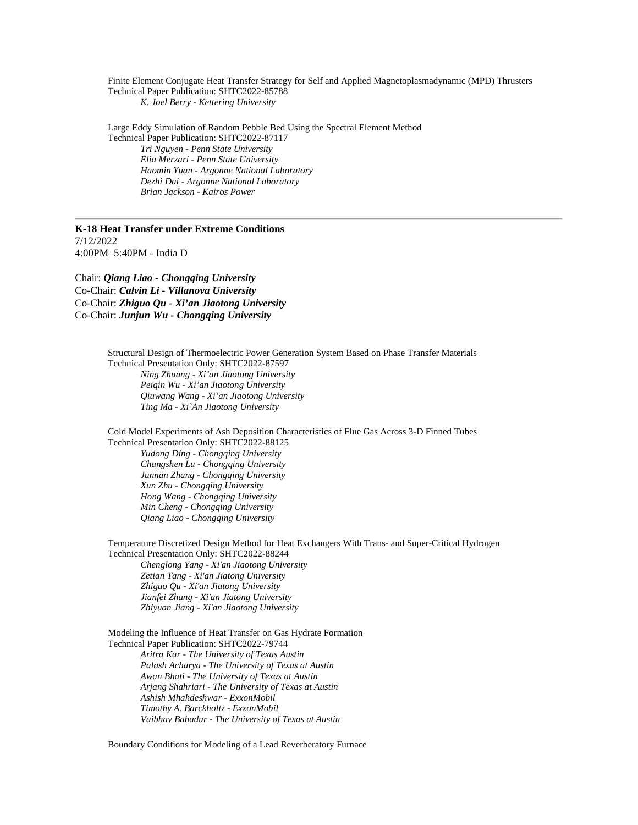Finite Element Conjugate Heat Transfer Strategy for Self and Applied Magnetoplasmadynamic (MPD) Thrusters Technical Paper Publication: SHTC2022-85788 *K. Joel Berry - Kettering University*

Large Eddy Simulation of Random Pebble Bed Using the Spectral Element Method Technical Paper Publication: SHTC2022-87117 *Tri Nguyen - Penn State University Elia Merzari - Penn State University Haomin Yuan - Argonne National Laboratory Dezhi Dai - Argonne National Laboratory*

*Brian Jackson - Kairos Power*

#### **K-18 Heat Transfer under Extreme Conditions** 7/12/2022 4:00PM–5:40PM - India D

Chair: *Qiang Liao - Chongqing University* Co-Chair: *Calvin Li - Villanova University* Co-Chair: *Zhiguo Qu - Xi'an Jiaotong University* Co-Chair: *Junjun Wu - Chongqing University* 

> Structural Design of Thermoelectric Power Generation System Based on Phase Transfer Materials Technical Presentation Only: SHTC2022-87597

*Ning Zhuang - Xi'an Jiaotong University Peiqin Wu - Xi'an Jiaotong University Qiuwang Wang - Xi'an Jiaotong University Ting Ma - Xi`An Jiaotong University*

Cold Model Experiments of Ash Deposition Characteristics of Flue Gas Across 3-D Finned Tubes Technical Presentation Only: SHTC2022-88125

*Yudong Ding - Chongqing University Changshen Lu - Chongqing University Junnan Zhang - Chongqing University Xun Zhu - Chongqing University Hong Wang - Chongqing University Min Cheng - Chongqing University Qiang Liao - Chongqing University*

Temperature Discretized Design Method for Heat Exchangers With Trans- and Super-Critical Hydrogen Technical Presentation Only: SHTC2022-88244

*Chenglong Yang - Xi'an Jiaotong University Zetian Tang - Xi'an Jiatong University Zhiguo Qu - Xi'an Jiatong University Jianfei Zhang - Xi'an Jiatong University Zhiyuan Jiang - Xi'an Jiaotong University*

Modeling the Influence of Heat Transfer on Gas Hydrate Formation Technical Paper Publication: SHTC2022-79744 *Aritra Kar - The University of Texas Austin Palash Acharya - The University of Texas at Austin Awan Bhati - The University of Texas at Austin Arjang Shahriari - The University of Texas at Austin Ashish Mhahdeshwar - ExxonMobil Timothy A. Barckholtz - ExxonMobil Vaibhav Bahadur - The University of Texas at Austin*

Boundary Conditions for Modeling of a Lead Reverberatory Furnace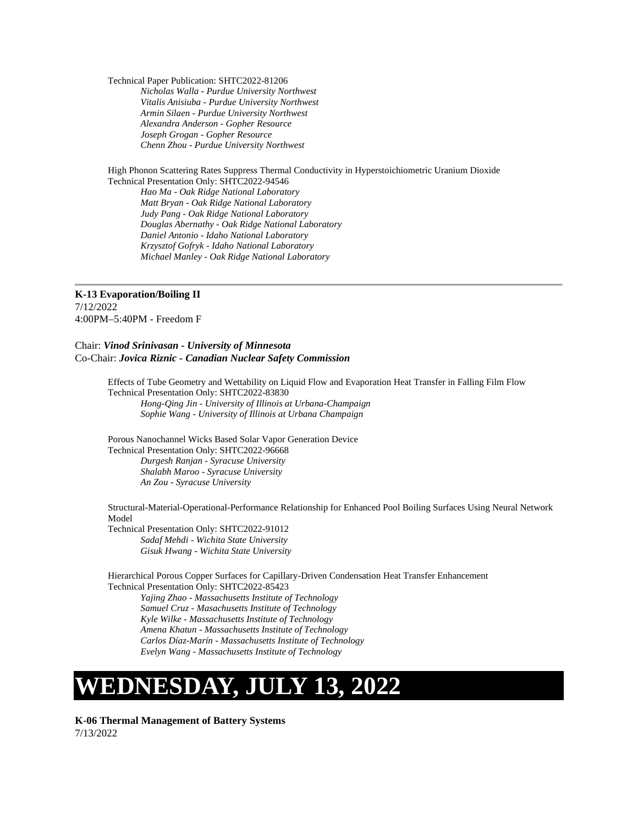Technical Paper Publication: SHTC2022-81206

*Nicholas Walla - Purdue University Northwest Vitalis Anisiuba - Purdue University Northwest Armin Silaen - Purdue University Northwest Alexandra Anderson - Gopher Resource Joseph Grogan - Gopher Resource Chenn Zhou - Purdue University Northwest*

High Phonon Scattering Rates Suppress Thermal Conductivity in Hyperstoichiometric Uranium Dioxide Technical Presentation Only: SHTC2022-94546 *Hao Ma - Oak Ridge National Laboratory Matt Bryan - Oak Ridge National Laboratory Judy Pang - Oak Ridge National Laboratory Douglas Abernathy - Oak Ridge National Laboratory Daniel Antonio - Idaho National Laboratory Krzysztof Gofryk - Idaho National Laboratory Michael Manley - Oak Ridge National Laboratory*

**K-13 Evaporation/Boiling II** 7/12/2022 4:00PM–5:40PM - Freedom F

#### Chair: *Vinod Srinivasan - University of Minnesota* Co-Chair: *Jovica Riznic - Canadian Nuclear Safety Commission*

Effects of Tube Geometry and Wettability on Liquid Flow and Evaporation Heat Transfer in Falling Film Flow Technical Presentation Only: SHTC2022-83830 *Hong-Qing Jin - University of Illinois at Urbana-Champaign Sophie Wang - University of Illinois at Urbana Champaign*

Porous Nanochannel Wicks Based Solar Vapor Generation Device Technical Presentation Only: SHTC2022-96668 *Durgesh Ranjan - Syracuse University*

*Shalabh Maroo - Syracuse University An Zou - Syracuse University*

Structural-Material-Operational-Performance Relationship for Enhanced Pool Boiling Surfaces Using Neural Network Model

Technical Presentation Only: SHTC2022-91012 *Sadaf Mehdi - Wichita State University Gisuk Hwang - Wichita State University*

Hierarchical Porous Copper Surfaces for Capillary-Driven Condensation Heat Transfer Enhancement Technical Presentation Only: SHTC2022-85423

*Yajing Zhao - Massachusetts Institute of Technology Samuel Cruz - Masachusetts Institute of Technology Kyle Wilke - Massachusetts Institute of Technology Amena Khatun - Massachusetts Institute of Technology Carlos Díaz-Marín - Massachusetts Institute of Technology Evelyn Wang - Massachusetts Institute of Technology*

## **WEDNESDAY, JULY 13, 2022**

**K-06 Thermal Management of Battery Systems** 7/13/2022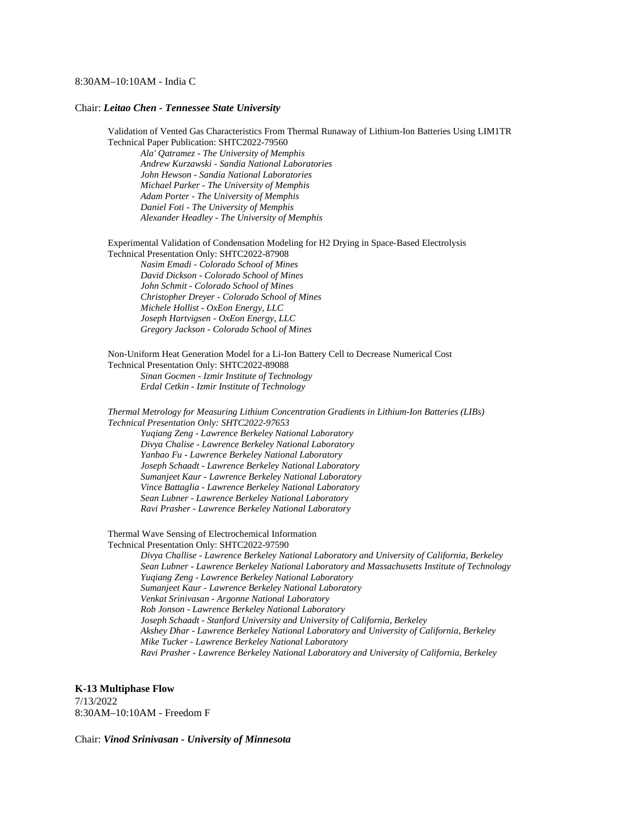#### 8:30AM–10:10AM - India C

#### Chair: *Leitao Chen - Tennessee State University*

Validation of Vented Gas Characteristics From Thermal Runaway of Lithium-Ion Batteries Using LIM1TR Technical Paper Publication: SHTC2022-79560

*Ala' Qatramez - The University of Memphis Andrew Kurzawski - Sandia National Laboratories John Hewson - Sandia National Laboratories Michael Parker - The University of Memphis Adam Porter - The University of Memphis Daniel Foti - The University of Memphis Alexander Headley - The University of Memphis*

Experimental Validation of Condensation Modeling for H2 Drying in Space-Based Electrolysis Technical Presentation Only: SHTC2022-87908

*Nasim Emadi - Colorado School of Mines David Dickson - Colorado School of Mines John Schmit - Colorado School of Mines Christopher Dreyer - Colorado School of Mines Michele Hollist - OxEon Energy, LLC Joseph Hartvigsen - OxEon Energy, LLC Gregory Jackson - Colorado School of Mines*

Non-Uniform Heat Generation Model for a Li-Ion Battery Cell to Decrease Numerical Cost Technical Presentation Only: SHTC2022-89088 *Sinan Gocmen - Izmir Institute of Technology Erdal Cetkin - Izmir Institute of Technology*

*Thermal Metrology for Measuring Lithium Concentration Gradients in Lithium-Ion Batteries (LIBs) Technical Presentation Only: SHTC2022-97653 Yuqiang Zeng - Lawrence Berkeley National Laboratory Divya Chalise - Lawrence Berkeley National Laboratory Yanbao Fu - Lawrence Berkeley National Laboratory Joseph Schaadt - Lawrence Berkeley National Laboratory Sumanjeet Kaur - Lawrence Berkeley National Laboratory Vince Battaglia - Lawrence Berkeley National Laboratory Sean Lubner - Lawrence Berkeley National Laboratory Ravi Prasher - Lawrence Berkeley National Laboratory*

Thermal Wave Sensing of Electrochemical Information Technical Presentation Only: SHTC2022-97590

*Divya Challise - Lawrence Berkeley National Laboratory and University of California, Berkeley Sean Lubner - Lawrence Berkeley National Laboratory and Massachusetts Institute of Technology Yuqiang Zeng - Lawrence Berkeley National Laboratory Sumanjeet Kaur - Lawrence Berkeley National Laboratory Venkat Srinivasan - Argonne National Laboratory Rob Jonson - Lawrence Berkeley National Laboratory Joseph Schaadt - Stanford University and University of California, Berkeley Akshey Dhar - Lawrence Berkeley National Laboratory and University of California, Berkeley Mike Tucker - Lawrence Berkeley National Laboratory Ravi Prasher - Lawrence Berkeley National Laboratory and University of California, Berkeley*

**K-13 Multiphase Flow**

7/13/2022 8:30AM–10:10AM - Freedom F

Chair: *Vinod Srinivasan - University of Minnesota*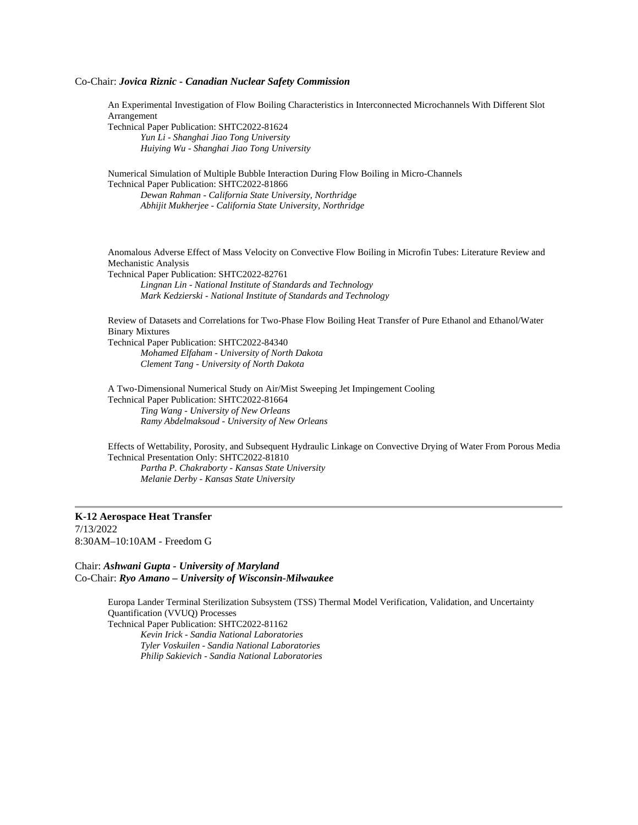#### Co-Chair: *Jovica Riznic - Canadian Nuclear Safety Commission*

An Experimental Investigation of Flow Boiling Characteristics in Interconnected Microchannels With Different Slot Arrangement

Technical Paper Publication: SHTC2022-81624 *Yun Li - Shanghai Jiao Tong University Huiying Wu - Shanghai Jiao Tong University*

Numerical Simulation of Multiple Bubble Interaction During Flow Boiling in Micro-Channels Technical Paper Publication: SHTC2022-81866 *Dewan Rahman - California State University, Northridge*

*Abhijit Mukherjee - California State University, Northridge*

Anomalous Adverse Effect of Mass Velocity on Convective Flow Boiling in Microfin Tubes: Literature Review and Mechanistic Analysis Technical Paper Publication: SHTC2022-82761

*Lingnan Lin - National Institute of Standards and Technology Mark Kedzierski - National Institute of Standards and Technology*

Review of Datasets and Correlations for Two-Phase Flow Boiling Heat Transfer of Pure Ethanol and Ethanol/Water Binary Mixtures Technical Paper Publication: SHTC2022-84340 *Mohamed Elfaham - University of North Dakota*

*Clement Tang - University of North Dakota*

A Two-Dimensional Numerical Study on Air/Mist Sweeping Jet Impingement Cooling Technical Paper Publication: SHTC2022-81664 *Ting Wang - University of New Orleans Ramy Abdelmaksoud - University of New Orleans*

Effects of Wettability, Porosity, and Subsequent Hydraulic Linkage on Convective Drying of Water From Porous Media Technical Presentation Only: SHTC2022-81810 *Partha P. Chakraborty - Kansas State University Melanie Derby - Kansas State University*

#### **K-12 Aerospace Heat Transfer** 7/13/2022 8:30AM–10:10AM - Freedom G

Chair: *Ashwani Gupta - University of Maryland* Co-Chair: *Ryo Amano – University of Wisconsin-Milwaukee*

> Europa Lander Terminal Sterilization Subsystem (TSS) Thermal Model Verification, Validation, and Uncertainty Quantification (VVUQ) Processes

Technical Paper Publication: SHTC2022-81162 *Kevin Irick - Sandia National Laboratories Tyler Voskuilen - Sandia National Laboratories Philip Sakievich - Sandia National Laboratories*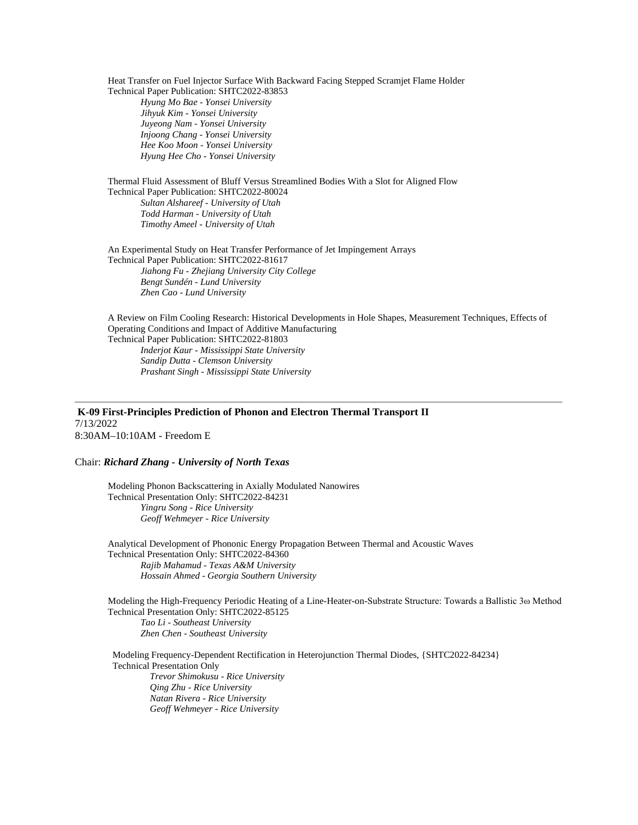Heat Transfer on Fuel Injector Surface With Backward Facing Stepped Scramjet Flame Holder Technical Paper Publication: SHTC2022-83853

*Hyung Mo Bae - Yonsei University Jihyuk Kim - Yonsei University Juyeong Nam - Yonsei University Injoong Chang - Yonsei University Hee Koo Moon - Yonsei University Hyung Hee Cho - Yonsei University*

Thermal Fluid Assessment of Bluff Versus Streamlined Bodies With a Slot for Aligned Flow Technical Paper Publication: SHTC2022-80024

*Sultan Alshareef - University of Utah Todd Harman - University of Utah Timothy Ameel - University of Utah*

An Experimental Study on Heat Transfer Performance of Jet Impingement Arrays Technical Paper Publication: SHTC2022-81617 *Jiahong Fu - Zhejiang University City College Bengt Sundén - Lund University Zhen Cao - Lund University*

A Review on Film Cooling Research: Historical Developments in Hole Shapes, Measurement Techniques, Effects of Operating Conditions and Impact of Additive Manufacturing Technical Paper Publication: SHTC2022-81803 *Inderjot Kaur - Mississippi State University Sandip Dutta - Clemson University*

*Prashant Singh - Mississippi State University*

**K-09 First-Principles Prediction of Phonon and Electron Thermal Transport II** 7/13/2022 8:30AM–10:10AM - Freedom E

#### Chair: *Richard Zhang - University of North Texas*

Modeling Phonon Backscattering in Axially Modulated Nanowires Technical Presentation Only: SHTC2022-84231 *Yingru Song - Rice University Geoff Wehmeyer - Rice University*

Analytical Development of Phononic Energy Propagation Between Thermal and Acoustic Waves Technical Presentation Only: SHTC2022-84360 *Rajib Mahamud - Texas A&M University Hossain Ahmed - Georgia Southern University*

Modeling the High-Frequency Periodic Heating of a Line-Heater-on-Substrate Structure: Towards a Ballistic 3ω Method Technical Presentation Only: SHTC2022-85125 *Tao Li - Southeast University Zhen Chen - Southeast University*

Modeling Frequency-Dependent Rectification in Heterojunction Thermal Diodes, {SHTC2022-84234} Technical Presentation Only *Trevor Shimokusu - Rice University Qing Zhu - Rice University Natan Rivera - Rice University Geoff Wehmeyer - Rice University*